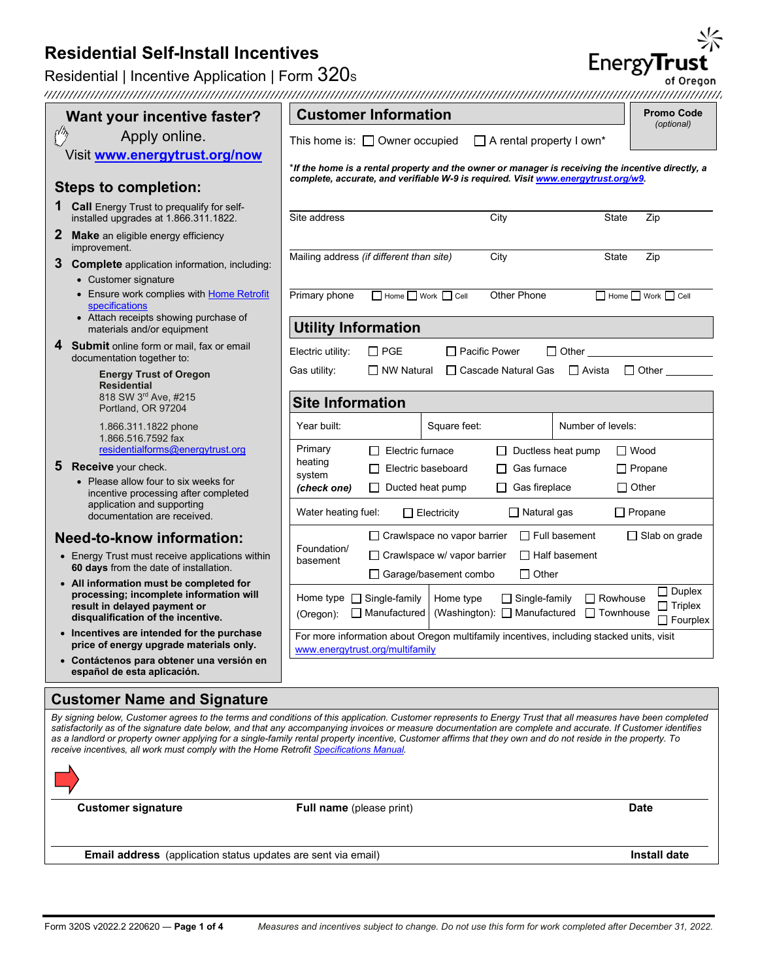## Residential | Incentive Application | Form 320s

| Want your incentive faster?                                                                                   | <b>Customer Information</b>                                                                                                                                                                                                                                                                                                  | <b>Promo Code</b><br>(optional)     |  |  |  |  |
|---------------------------------------------------------------------------------------------------------------|------------------------------------------------------------------------------------------------------------------------------------------------------------------------------------------------------------------------------------------------------------------------------------------------------------------------------|-------------------------------------|--|--|--|--|
| Apply online.                                                                                                 | $\Box$ A rental property I own*<br>This home is: $\Box$ Owner occupied                                                                                                                                                                                                                                                       |                                     |  |  |  |  |
| Visit www.energytrust.org/now                                                                                 |                                                                                                                                                                                                                                                                                                                              |                                     |  |  |  |  |
|                                                                                                               | lf the home is a rental property and the owner or manager is receiving the incentive directly, a**<br>complete, accurate, and verifiable W-9 is required. Visit www.energytrust.org/w9.                                                                                                                                      |                                     |  |  |  |  |
| <b>Steps to completion:</b>                                                                                   |                                                                                                                                                                                                                                                                                                                              |                                     |  |  |  |  |
| <b>1 Call</b> Energy Trust to prequalify for self-<br>installed upgrades at 1.866.311.1822.                   | Site address<br>City<br><b>State</b>                                                                                                                                                                                                                                                                                         | Zip                                 |  |  |  |  |
| $\mathbf{2}$<br><b>Make</b> an eligible energy efficiency<br>improvement.                                     | Mailing address (if different than site)<br>City<br><b>State</b>                                                                                                                                                                                                                                                             | Zip                                 |  |  |  |  |
| 3 Complete application information, including:<br>• Customer signature                                        |                                                                                                                                                                                                                                                                                                                              |                                     |  |  |  |  |
| • Ensure work complies with Home Retrofit<br>specifications                                                   | Primary phone<br>$\Box$ Home $\Box$ Work $\Box$ Cell<br>Other Phone                                                                                                                                                                                                                                                          | $\Box$ Home $\Box$ Work $\Box$ Cell |  |  |  |  |
| • Attach receipts showing purchase of<br>materials and/or equipment                                           | <b>Utility Information</b>                                                                                                                                                                                                                                                                                                   |                                     |  |  |  |  |
| 4 Submit online form or mail, fax or email<br>documentation together to:                                      | Electric utility:<br>$\Box$ PGE<br>$\Box$ Pacific Power<br>$\Box$ Other                                                                                                                                                                                                                                                      |                                     |  |  |  |  |
| <b>Energy Trust of Oregon</b><br><b>Residential</b><br>818 SW 3rd Ave, #215                                   | Gas utility:<br>$\Box$ NW Natural<br>□ Cascade Natural Gas<br>$\Box$ Avista                                                                                                                                                                                                                                                  | $\Box$ Other                        |  |  |  |  |
| Portland, OR 97204                                                                                            | <b>Site Information</b>                                                                                                                                                                                                                                                                                                      |                                     |  |  |  |  |
| 1.866.311.1822 phone<br>1.866.516.7592 fax                                                                    | Year built:<br>Square feet:<br>Number of levels:                                                                                                                                                                                                                                                                             |                                     |  |  |  |  |
| residentialforms@energytrust.org                                                                              | Primary<br>$\Box$ Ductless heat pump<br>$\Box$ Electric furnace<br>heating                                                                                                                                                                                                                                                   | $\Box$ Wood                         |  |  |  |  |
| 5 Receive your check.                                                                                         | Electric baseboard<br>Gas furnace<br>system                                                                                                                                                                                                                                                                                  | $\Box$ Propane                      |  |  |  |  |
| • Please allow four to six weeks for<br>incentive processing after completed                                  | (check one)<br>$\Box$ Gas fireplace<br>$\Box$ Other<br>$\Box$ Ducted heat pump                                                                                                                                                                                                                                               |                                     |  |  |  |  |
| application and supporting<br>documentation are received.                                                     | Water heating fuel:<br>$\Box$ Natural gas<br>$\Box$ Propane<br>$\Box$ Electricity                                                                                                                                                                                                                                            |                                     |  |  |  |  |
| <b>Need-to-know information:</b>                                                                              | $\Box$ Crawlspace no vapor barrier<br>$\Box$ Full basement                                                                                                                                                                                                                                                                   | $\Box$ Slab on grade                |  |  |  |  |
| • Energy Trust must receive applications within<br>60 days from the date of installation.                     | Foundation/<br>$\Box$ Crawlspace w/ vapor barrier<br>$\Box$ Half basement<br>basement<br>$\Box$ Garage/basement combo<br>$\Box$ Other                                                                                                                                                                                        |                                     |  |  |  |  |
| • All information must be completed for                                                                       |                                                                                                                                                                                                                                                                                                                              | $\Box$ Duplex                       |  |  |  |  |
| processing; incomplete information will<br>result in delayed payment or<br>disqualification of the incentive. | Home type<br><br>$\Box$ Single-family<br>Home type<br>$\Box$ Single-family<br>$\Box$ Rowhouse<br>(Washington): □ Manufactured □ Townhouse<br>$\Box$ Manufactured<br>(Oregon):                                                                                                                                                | $\Box$ Triplex<br>$\Box$ Fourplex   |  |  |  |  |
| • Incentives are intended for the purchase<br>price of energy upgrade materials only.                         | For more information about Oregon multifamily incentives, including stacked units, visit<br>www.energytrust.org/multifamily                                                                                                                                                                                                  |                                     |  |  |  |  |
| • Contáctenos para obtener una versión en<br>español de esta aplicación.                                      |                                                                                                                                                                                                                                                                                                                              |                                     |  |  |  |  |
| <b>Customer Name and Signature</b>                                                                            |                                                                                                                                                                                                                                                                                                                              |                                     |  |  |  |  |
|                                                                                                               | By signing below, Customer agrees to the terms and conditions of this application. Customer represents to Energy Trust that all measures have been completed                                                                                                                                                                 |                                     |  |  |  |  |
| receive incentives, all work must comply with the Home Retrofit Specifications Manual.                        | satisfactorily as of the signature date below, and that any accompanying invoices or measure documentation are complete and accurate. If Customer identifies<br>as a landlord or property owner applying for a single-family rental property incentive, Customer affirms that they own and do not reside in the property. To |                                     |  |  |  |  |

**Customer Information** 



**Customer signature Full name** (please print) **Date**

**Email address** (application status updates are sent via email) **Install date Install date** 





of Oregon 

**Promo Code**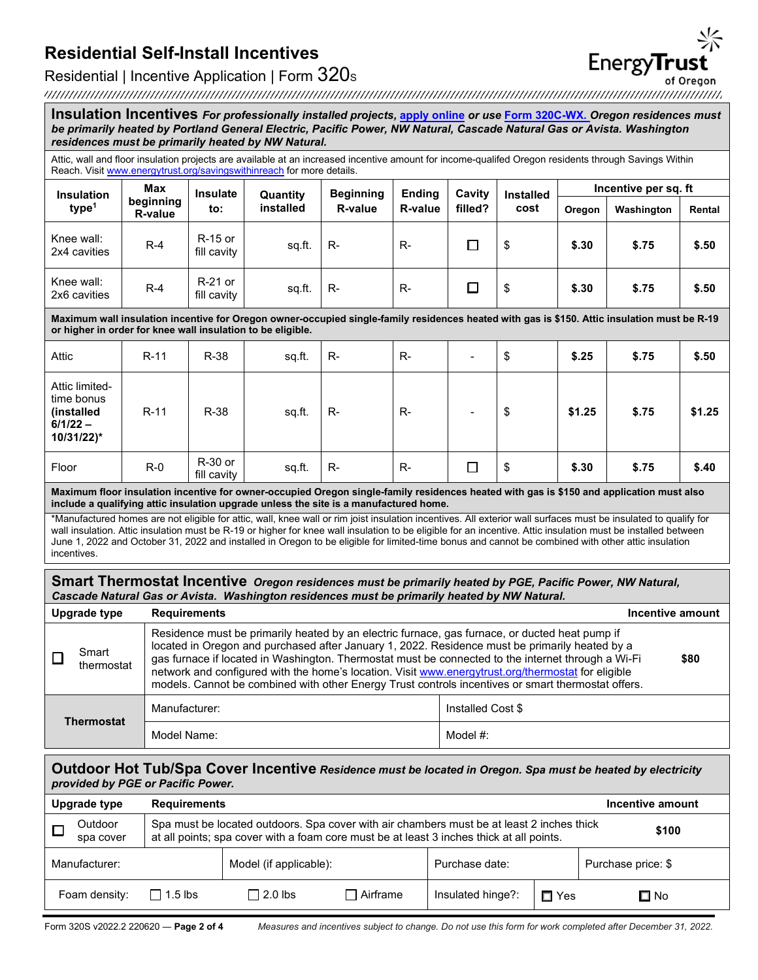# EnergyTrust of Oregon

Residential | Incentive Application | Form 320s<br>of Oregon control and the United States of Oregon control and the United States of Oregon control and the United States of Oregon control and the United States of Oregon cont

| Insulation Incentives For professionally installed projects, apply online or use Form 320C-WX. Oregon residences must<br>be primarily heated by Portland General Electric, Pacific Power, NW Natural, Cascade Natural Gas or Avista. Washington<br>residences must be primarily heated by NW Natural.                                                                                                                                                                                                 |                                                                                                                                                                                                                                                                                                                                                                                                                                                                                                                                          |                        |           |                  |                |         |                          |                      |            |        |  |
|-------------------------------------------------------------------------------------------------------------------------------------------------------------------------------------------------------------------------------------------------------------------------------------------------------------------------------------------------------------------------------------------------------------------------------------------------------------------------------------------------------|------------------------------------------------------------------------------------------------------------------------------------------------------------------------------------------------------------------------------------------------------------------------------------------------------------------------------------------------------------------------------------------------------------------------------------------------------------------------------------------------------------------------------------------|------------------------|-----------|------------------|----------------|---------|--------------------------|----------------------|------------|--------|--|
| Attic, wall and floor insulation projects are available at an increased incentive amount for income-qualifed Oregon residents through Savings Within<br>Reach. Visit www.energytrust.org/savingswithinreach for more details.                                                                                                                                                                                                                                                                         |                                                                                                                                                                                                                                                                                                                                                                                                                                                                                                                                          |                        |           |                  |                |         |                          |                      |            |        |  |
| <b>Insulation</b>                                                                                                                                                                                                                                                                                                                                                                                                                                                                                     | <b>Max</b>                                                                                                                                                                                                                                                                                                                                                                                                                                                                                                                               | <b>Insulate</b>        | Quantity  | <b>Beginning</b> | <b>Ending</b>  | Cavity  | <b>Installed</b><br>cost | Incentive per sq. ft |            |        |  |
| type <sup>1</sup>                                                                                                                                                                                                                                                                                                                                                                                                                                                                                     | beginning<br>R-value                                                                                                                                                                                                                                                                                                                                                                                                                                                                                                                     | to:                    | installed | R-value          | <b>R-value</b> | filled? |                          | Oregon               | Washington | Rental |  |
| Knee wall:<br>2x4 cavities                                                                                                                                                                                                                                                                                                                                                                                                                                                                            | $R-4$                                                                                                                                                                                                                                                                                                                                                                                                                                                                                                                                    | R-15 or<br>fill cavity | sq.ft.    | R-               | $R -$          | ◻       | \$                       | \$.30                | \$.75      | \$.50  |  |
| Knee wall:<br>2x6 cavities                                                                                                                                                                                                                                                                                                                                                                                                                                                                            | $R-4$                                                                                                                                                                                                                                                                                                                                                                                                                                                                                                                                    | R-21 or<br>fill cavity | sq.ft.    | R-               | R-             | ◻       | \$                       | \$.30                | \$.75      | \$.50  |  |
| Maximum wall insulation incentive for Oregon owner-occupied single-family residences heated with gas is \$150. Attic insulation must be R-19<br>or higher in order for knee wall insulation to be eligible.                                                                                                                                                                                                                                                                                           |                                                                                                                                                                                                                                                                                                                                                                                                                                                                                                                                          |                        |           |                  |                |         |                          |                      |            |        |  |
| Attic                                                                                                                                                                                                                                                                                                                                                                                                                                                                                                 | $R-11$                                                                                                                                                                                                                                                                                                                                                                                                                                                                                                                                   | R-38                   | sq.ft.    | $R -$            | $R -$          |         | \$                       | \$.25                | \$.75      | \$.50  |  |
| Attic limited-<br>time bonus<br>(installed<br>$6/1/22 -$<br>10/31/22)*                                                                                                                                                                                                                                                                                                                                                                                                                                | $R-11$                                                                                                                                                                                                                                                                                                                                                                                                                                                                                                                                   | R-38                   | sq.ft.    | R-               | $R -$          |         | \$                       | \$1.25               | \$.75      | \$1.25 |  |
| Floor                                                                                                                                                                                                                                                                                                                                                                                                                                                                                                 | $R-0$                                                                                                                                                                                                                                                                                                                                                                                                                                                                                                                                    | R-30 or<br>fill cavity | sq.ft.    | R-               | $R -$          | □       | \$                       | \$.30                | \$.75      | \$.40  |  |
| Maximum floor insulation incentive for owner-occupied Oregon single-family residences heated with gas is \$150 and application must also<br>include a qualifying attic insulation upgrade unless the site is a manufactured home.                                                                                                                                                                                                                                                                     |                                                                                                                                                                                                                                                                                                                                                                                                                                                                                                                                          |                        |           |                  |                |         |                          |                      |            |        |  |
| *Manufactured homes are not eligible for attic, wall, knee wall or rim joist insulation incentives. All exterior wall surfaces must be insulated to qualify for<br>wall insulation. Attic insulation must be R-19 or higher for knee wall insulation to be eligible for an incentive. Attic insulation must be installed between<br>June 1, 2022 and October 31, 2022 and installed in Oregon to be eligible for limited-time bonus and cannot be combined with other attic insulation<br>incentives. |                                                                                                                                                                                                                                                                                                                                                                                                                                                                                                                                          |                        |           |                  |                |         |                          |                      |            |        |  |
| Smart Thermostat Incentive Oregon residences must be primarily heated by PGE, Pacific Power, NW Natural,<br>Cascade Natural Gas or Avista. Washington residences must be primarily heated by NW Natural.                                                                                                                                                                                                                                                                                              |                                                                                                                                                                                                                                                                                                                                                                                                                                                                                                                                          |                        |           |                  |                |         |                          |                      |            |        |  |
| <b>Upgrade type</b>                                                                                                                                                                                                                                                                                                                                                                                                                                                                                   | <b>Requirements</b><br>Incentive amount                                                                                                                                                                                                                                                                                                                                                                                                                                                                                                  |                        |           |                  |                |         |                          |                      |            |        |  |
| $\blacksquare$ Smart<br>⊔                                                                                                                                                                                                                                                                                                                                                                                                                                                                             | Residence must be primarily heated by an electric furnace, gas furnace, or ducted heat pump if<br>located in Oregon and purchased after January 1, 2022. Residence must be primarily heated by a<br>gas furnace if located in Washington. Thermostat must be connected to the internet through a Wi-Fi<br>\$80<br>thermostat<br>network and configured with the home's location. Visit www.energytrust.org/thermostat for eligible<br>models. Cannot be combined with other Energy Trust controls incentives or smart thermostat offers. |                        |           |                  |                |         |                          |                      |            |        |  |
|                                                                                                                                                                                                                                                                                                                                                                                                                                                                                                       |                                                                                                                                                                                                                                                                                                                                                                                                                                                                                                                                          | Manufacturer:          |           |                  |                |         | Installed Cost \$        |                      |            |        |  |
| <b>Thermostat</b>                                                                                                                                                                                                                                                                                                                                                                                                                                                                                     |                                                                                                                                                                                                                                                                                                                                                                                                                                                                                                                                          | Model Name:            |           |                  |                |         | Model #:                 |                      |            |        |  |

#### **Outdoor Hot Tub/Spa Cover Incentive** *Residence must be located in Oregon. Spa must be heated by electricity provided by PGE or Pacific Power.*

| <b>Upgrade type</b><br><b>Requirements</b> |                                                                                                                                                                                                |                        |                 | Incentive amount  |       |                    |  |
|--------------------------------------------|------------------------------------------------------------------------------------------------------------------------------------------------------------------------------------------------|------------------------|-----------------|-------------------|-------|--------------------|--|
| Outdoor<br>spa cover                       | Spa must be located outdoors. Spa cover with air chambers must be at least 2 inches thick<br>\$100<br>at all points; spa cover with a foam core must be at least 3 inches thick at all points. |                        |                 |                   |       |                    |  |
| Manufacturer:                              |                                                                                                                                                                                                | Model (if applicable): |                 | Purchase date:    |       | Purchase price: \$ |  |
| Foam density:                              | $\Box$ 1.5 lbs                                                                                                                                                                                 | $\Box$ 2.0 lbs         | $\Box$ Airframe | Insulated hinge?: | □ Yes | $\square$ No       |  |

Form 320S v2022.2 220620 ― **Page 2 of 4** *Measures and incentives subject to change. Do not use this form for work completed after December 31, 2022.*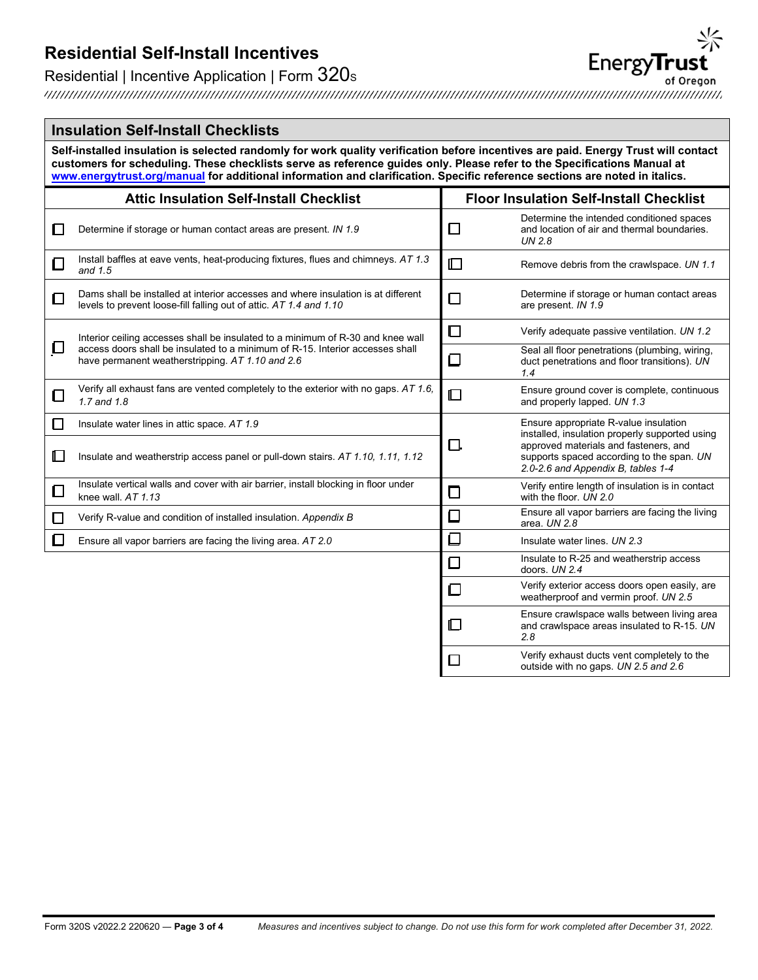## Residential | Incentive Application | Form 320s

#### **Insulation Self-Install Checklists**

**Self-installed insulation is selected randomly for work quality verification before incentives are paid. Energy Trust will contact customers for scheduling. These checklists serve as reference guides only. Please refer to the Specifications Manual at www.energytrust.org/manual for additional information and clarification. Specific reference sections are noted in italics.**

|              | <b>Attic Insulation Self-Install Checklist</b>                                                                                                          | <b>Floor Insulation Self-Install Checklist</b> |                                                                                                                          |  |  |
|--------------|---------------------------------------------------------------------------------------------------------------------------------------------------------|------------------------------------------------|--------------------------------------------------------------------------------------------------------------------------|--|--|
| ப            | Determine if storage or human contact areas are present. IN 1.9                                                                                         | ப                                              | Determine the intended conditioned spaces<br>and location of air and thermal boundaries.<br>UN 2.8                       |  |  |
| ⊡            | Install baffles at eave vents, heat-producing fixtures, flues and chimneys. AT 1.3<br>and $1.5$                                                         | $\square$                                      | Remove debris from the crawlspace. UN 1.1                                                                                |  |  |
| ◻            | Dams shall be installed at interior accesses and where insulation is at different<br>levels to prevent loose-fill falling out of attic. AT 1.4 and 1.10 | □                                              | Determine if storage or human contact areas<br>are present. IN 1.9                                                       |  |  |
|              | Interior ceiling accesses shall be insulated to a minimum of R-30 and knee wall                                                                         | □                                              | Verify adequate passive ventilation. UN 1.2                                                                              |  |  |
| $\Box$       | access doors shall be insulated to a minimum of R-15. Interior accesses shall<br>have permanent weatherstripping. AT 1.10 and 2.6                       | $\Box$                                         | Seal all floor penetrations (plumbing, wiring,<br>duct penetrations and floor transitions). UN<br>1.4                    |  |  |
| ◻            | Verify all exhaust fans are vented completely to the exterior with no gaps. AT 1.6,<br>1.7 and 1.8                                                      | $\Box$                                         | Ensure ground cover is complete, continuous<br>and properly lapped. UN 1.3                                               |  |  |
|              | Insulate water lines in attic space. AT 1.9                                                                                                             |                                                | Ensure appropriate R-value insulation<br>installed, insulation properly supported using                                  |  |  |
| $\mathbb{L}$ | Insulate and weatherstrip access panel or pull-down stairs. AT 1.10, 1.11, 1.12                                                                         | □.                                             | approved materials and fasteners, and<br>supports spaced according to the span. UN<br>2.0-2.6 and Appendix B, tables 1-4 |  |  |
| □            | Insulate vertical walls and cover with air barrier, install blocking in floor under<br>knee wall, $AT 1.13$                                             | □                                              | Verify entire length of insulation is in contact<br>with the floor. UN 2.0                                               |  |  |
|              | Verify R-value and condition of installed insulation. Appendix B                                                                                        | $\Box$                                         | Ensure all vapor barriers are facing the living<br>area. UN 2.8                                                          |  |  |
| Π            | Ensure all vapor barriers are facing the living area. AT 2.0                                                                                            | ❏                                              | Insulate water lines, UN 2.3                                                                                             |  |  |
|              |                                                                                                                                                         | □                                              | Insulate to R-25 and weatherstrip access<br>doors. UN 2.4                                                                |  |  |
|              |                                                                                                                                                         | ▢                                              | Verify exterior access doors open easily, are<br>weatherproof and vermin proof. UN 2.5                                   |  |  |
|              |                                                                                                                                                         | $\Box$                                         | Ensure crawlspace walls between living area<br>and crawlspace areas insulated to R-15. UN<br>2.8                         |  |  |
|              |                                                                                                                                                         | $\mathsf{L}$                                   | Verify exhaust ducts vent completely to the<br>outside with no gaps. UN 2.5 and 2.6                                      |  |  |